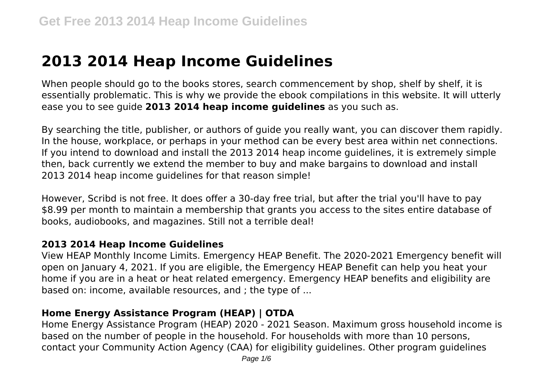# **2013 2014 Heap Income Guidelines**

When people should go to the books stores, search commencement by shop, shelf by shelf, it is essentially problematic. This is why we provide the ebook compilations in this website. It will utterly ease you to see guide **2013 2014 heap income guidelines** as you such as.

By searching the title, publisher, or authors of guide you really want, you can discover them rapidly. In the house, workplace, or perhaps in your method can be every best area within net connections. If you intend to download and install the 2013 2014 heap income guidelines, it is extremely simple then, back currently we extend the member to buy and make bargains to download and install 2013 2014 heap income guidelines for that reason simple!

However, Scribd is not free. It does offer a 30-day free trial, but after the trial you'll have to pay \$8.99 per month to maintain a membership that grants you access to the sites entire database of books, audiobooks, and magazines. Still not a terrible deal!

#### **2013 2014 Heap Income Guidelines**

View HEAP Monthly Income Limits. Emergency HEAP Benefit. The 2020-2021 Emergency benefit will open on January 4, 2021. If you are eligible, the Emergency HEAP Benefit can help you heat your home if you are in a heat or heat related emergency. Emergency HEAP benefits and eligibility are based on: income, available resources, and ; the type of ...

### **Home Energy Assistance Program (HEAP) | OTDA**

Home Energy Assistance Program (HEAP) 2020 - 2021 Season. Maximum gross household income is based on the number of people in the household. For households with more than 10 persons, contact your Community Action Agency (CAA) for eligibility guidelines. Other program guidelines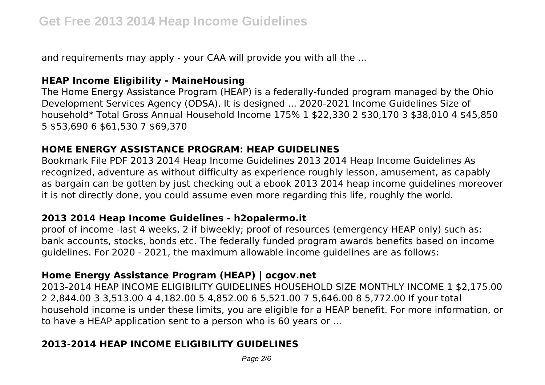and requirements may apply - your CAA will provide you with all the ...

## **HEAP Income Eligibility - MaineHousing**

The Home Energy Assistance Program (HEAP) is a federally-funded program managed by the Ohio Development Services Agency (ODSA). It is designed ... 2020-2021 Income Guidelines Size of household\* Total Gross Annual Household Income 175% 1 \$22,330 2 \$30,170 3 \$38,010 4 \$45,850 5 \$53,690 6 \$61,530 7 \$69,370

### **HOME ENERGY ASSISTANCE PROGRAM: HEAP GUIDELINES**

Bookmark File PDF 2013 2014 Heap Income Guidelines 2013 2014 Heap Income Guidelines As recognized, adventure as without difficulty as experience roughly lesson, amusement, as capably as bargain can be gotten by just checking out a ebook 2013 2014 heap income guidelines moreover it is not directly done, you could assume even more regarding this life, roughly the world.

### **2013 2014 Heap Income Guidelines - h2opalermo.it**

proof of income -last 4 weeks, 2 if biweekly; proof of resources (emergency HEAP only) such as: bank accounts, stocks, bonds etc. The federally funded program awards benefits based on income guidelines. For 2020 - 2021, the maximum allowable income guidelines are as follows:

### **Home Energy Assistance Program (HEAP) | ocgov.net**

2013-2014 HEAP INCOME ELIGIBILITY GUIDELINES HOUSEHOLD SIZE MONTHLY INCOME 1 \$2,175.00 2 2,844.00 3 3,513.00 4 4,182.00 5 4,852.00 6 5,521.00 7 5,646.00 8 5,772.00 If your total household income is under these limits, you are eligible for a HEAP benefit. For more information, or to have a HEAP application sent to a person who is 60 years or ...

## **2013-2014 HEAP INCOME ELIGIBILITY GUIDELINES**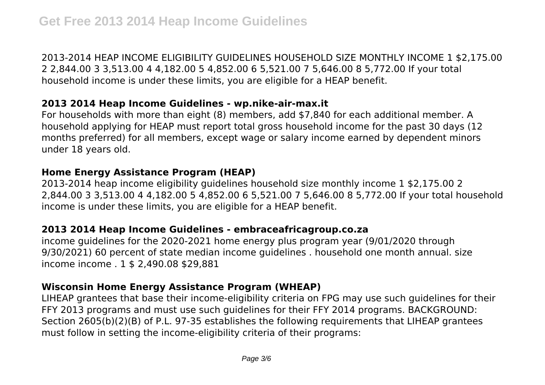2013-2014 HEAP INCOME ELIGIBILITY GUIDELINES HOUSEHOLD SIZE MONTHLY INCOME 1 \$2,175.00 2 2,844.00 3 3,513.00 4 4,182.00 5 4,852.00 6 5,521.00 7 5,646.00 8 5,772.00 If your total household income is under these limits, you are eligible for a HEAP benefit.

### **2013 2014 Heap Income Guidelines - wp.nike-air-max.it**

For households with more than eight (8) members, add \$7,840 for each additional member. A household applying for HEAP must report total gross household income for the past 30 days (12 months preferred) for all members, except wage or salary income earned by dependent minors under 18 years old.

## **Home Energy Assistance Program (HEAP)**

2013-2014 heap income eligibility guidelines household size monthly income 1 \$2,175.00 2 2,844.00 3 3,513.00 4 4,182.00 5 4,852.00 6 5,521.00 7 5,646.00 8 5,772.00 If your total household income is under these limits, you are eligible for a HEAP benefit.

## **2013 2014 Heap Income Guidelines - embraceafricagroup.co.za**

income guidelines for the 2020-2021 home energy plus program year (9/01/2020 through 9/30/2021) 60 percent of state median income guidelines . household one month annual. size income income . 1 \$ 2,490.08 \$29,881

# **Wisconsin Home Energy Assistance Program (WHEAP)**

LIHEAP grantees that base their income-eligibility criteria on FPG may use such guidelines for their FFY 2013 programs and must use such guidelines for their FFY 2014 programs. BACKGROUND: Section 2605(b)(2)(B) of P.L. 97-35 establishes the following requirements that LIHEAP grantees must follow in setting the income-eligibility criteria of their programs: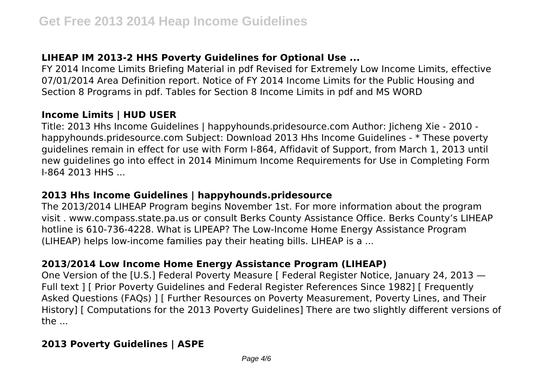# **LIHEAP IM 2013-2 HHS Poverty Guidelines for Optional Use ...**

FY 2014 Income Limits Briefing Material in pdf Revised for Extremely Low Income Limits, effective 07/01/2014 Area Definition report. Notice of FY 2014 Income Limits for the Public Housing and Section 8 Programs in pdf. Tables for Section 8 Income Limits in pdf and MS WORD

## **Income Limits | HUD USER**

Title: 2013 Hhs Income Guidelines | happyhounds.pridesource.com Author: Jicheng Xie - 2010 happyhounds.pridesource.com Subject: Download 2013 Hhs Income Guidelines - \* These poverty guidelines remain in effect for use with Form I-864, Affidavit of Support, from March 1, 2013 until new guidelines go into effect in 2014 Minimum Income Requirements for Use in Completing Form **I-864 2013 HHS** 

## **2013 Hhs Income Guidelines | happyhounds.pridesource**

The 2013/2014 LIHEAP Program begins November 1st. For more information about the program visit . www.compass.state.pa.us or consult Berks County Assistance Office. Berks County's LIHEAP hotline is 610-736-4228. What is LIPEAP? The Low-Income Home Energy Assistance Program (LIHEAP) helps low-income families pay their heating bills. LIHEAP is a ...

## **2013/2014 Low Income Home Energy Assistance Program (LIHEAP)**

One Version of the [U.S.] Federal Poverty Measure [ Federal Register Notice, January 24, 2013 — Full text ] [ Prior Poverty Guidelines and Federal Register References Since 1982] [ Frequently Asked Questions (FAQs) ] [ Further Resources on Poverty Measurement, Poverty Lines, and Their History] [ Computations for the 2013 Poverty Guidelines] There are two slightly different versions of the ...

## **2013 Poverty Guidelines | ASPE**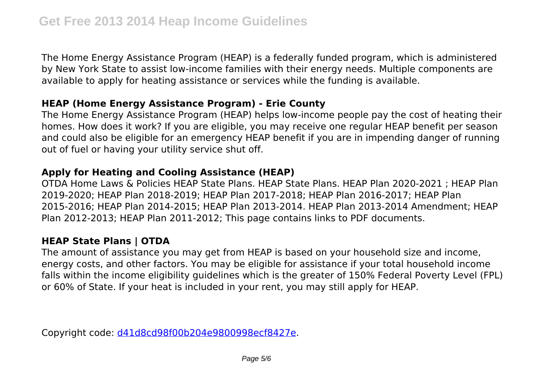The Home Energy Assistance Program (HEAP) is a federally funded program, which is administered by New York State to assist low-income families with their energy needs. Multiple components are available to apply for heating assistance or services while the funding is available.

## **HEAP (Home Energy Assistance Program) - Erie County**

The Home Energy Assistance Program (HEAP) helps low-income people pay the cost of heating their homes. How does it work? If you are eligible, you may receive one regular HEAP benefit per season and could also be eligible for an emergency HEAP benefit if you are in impending danger of running out of fuel or having your utility service shut off.

# **Apply for Heating and Cooling Assistance (HEAP)**

OTDA Home Laws & Policies HEAP State Plans. HEAP State Plans. HEAP Plan 2020-2021 ; HEAP Plan 2019-2020; HEAP Plan 2018-2019; HEAP Plan 2017-2018; HEAP Plan 2016-2017; HEAP Plan 2015-2016; HEAP Plan 2014-2015; HEAP Plan 2013-2014. HEAP Plan 2013-2014 Amendment; HEAP Plan 2012-2013; HEAP Plan 2011-2012; This page contains links to PDF documents.

# **HEAP State Plans | OTDA**

The amount of assistance you may get from HEAP is based on your household size and income, energy costs, and other factors. You may be eligible for assistance if your total household income falls within the income eligibility guidelines which is the greater of 150% Federal Poverty Level (FPL) or 60% of State. If your heat is included in your rent, you may still apply for HEAP.

Copyright code: [d41d8cd98f00b204e9800998ecf8427e.](/sitemap.xml)